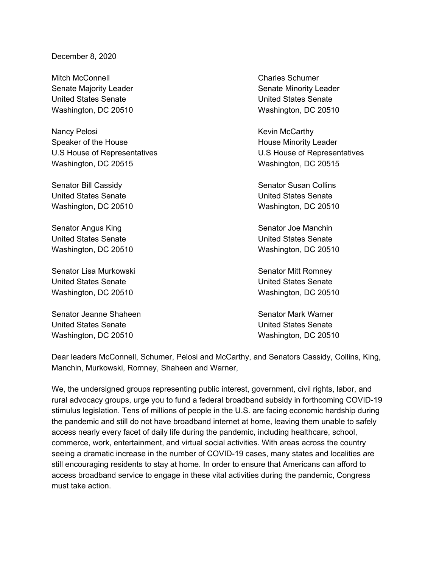## December 8, 2020

Mitch McConnell Charles Schumer Senate Majority Leader Senate Minority Leader United States Senate United States Senate Washington, DC 20510 Washington, DC 20510

Nancy Pelosi **Kevin McCarthy** Kevin McCarthy Speaker of the House **House** House Minority Leader U.S House of Representatives U.S House of Representatives Washington, DC 20515 Washington, DC 20515

United States Senate United States Senate Washington, DC 20510 Washington, DC 20510

United States Senate United States Senate Washington, DC 20510 Washington, DC 20510

Senator Lisa Murkowski New York Senator Mitt Romney United States Senate United States Senate Washington, DC 20510 Washington, DC 20510

Senator Jeanne Shaheen Suite Senator Mark Warner United States Senate United States Senate Washington, DC 20510 Washington, DC 20510

Senator Bill Cassidy Senator Susan Collins

Senator Angus King Senator Joe Manchin

Dear leaders McConnell, Schumer, Pelosi and McCarthy, and Senators Cassidy, Collins, King, Manchin, Murkowski, Romney, Shaheen and Warner,

We, the undersigned groups representing public interest, government, civil rights, labor, and rural advocacy groups, urge you to fund a federal broadband subsidy in forthcoming COVID-19 stimulus legislation. Tens of millions of people in the U.S. are facing economic hardship during the pandemic and still do not have broadband internet at home, leaving them unable to safely access nearly every facet of daily life during the pandemic, including healthcare, school, commerce, work, entertainment, and virtual social activities. With areas across the country seeing a dramatic increase in the number of COVID-19 cases, many states and localities are still encouraging residents to stay at home. In order to ensure that Americans can afford to access broadband service to engage in these vital activities during the pandemic, Congress must take action.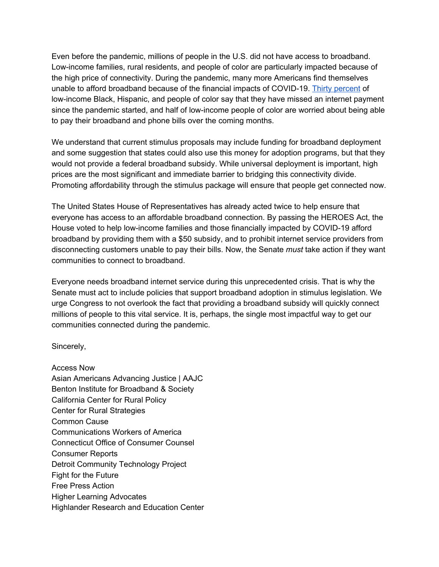Even before the pandemic, millions of people in the U.S. did not have access to broadband. Low-income families, rural residents, and people of color are particularly impacted because of the high price of connectivity. During the pandemic, many more Americans find themselves unable to afford broadband because of the financial impacts of COVID-19. Thirty [percent](https://morningconsult.com/2020/06/30/internet-service-providers-pandemic-low-income-billing-poll/) of low-income Black, Hispanic, and people of color say that they have missed an internet payment since the pandemic started, and half of low-income people of color are worried about being able to pay their broadband and phone bills over the coming months.

We understand that current stimulus proposals may include funding for broadband deployment and some suggestion that states could also use this money for adoption programs, but that they would not provide a federal broadband subsidy. While universal deployment is important, high prices are the most significant and immediate barrier to bridging this connectivity divide. Promoting affordability through the stimulus package will ensure that people get connected now.

The United States House of Representatives has already acted twice to help ensure that everyone has access to an affordable broadband connection. By passing the HEROES Act, the House voted to help low-income families and those financially impacted by COVID-19 afford broadband by providing them with a \$50 subsidy, and to prohibit internet service providers from disconnecting customers unable to pay their bills. Now, the Senate *must* take action if they want communities to connect to broadband.

Everyone needs broadband internet service during this unprecedented crisis. That is why the Senate must act to include policies that support broadband adoption in stimulus legislation. We urge Congress to not overlook the fact that providing a broadband subsidy will quickly connect millions of people to this vital service. It is, perhaps, the single most impactful way to get our communities connected during the pandemic.

Sincerely,

Access Now Asian Americans Advancing Justice | AAJC Benton Institute for Broadband & Society California Center for Rural Policy Center for Rural Strategies Common Cause Communications Workers of America Connecticut Office of Consumer Counsel Consumer Reports Detroit Community Technology Project Fight for the Future Free Press Action Higher Learning Advocates Highlander Research and Education Center